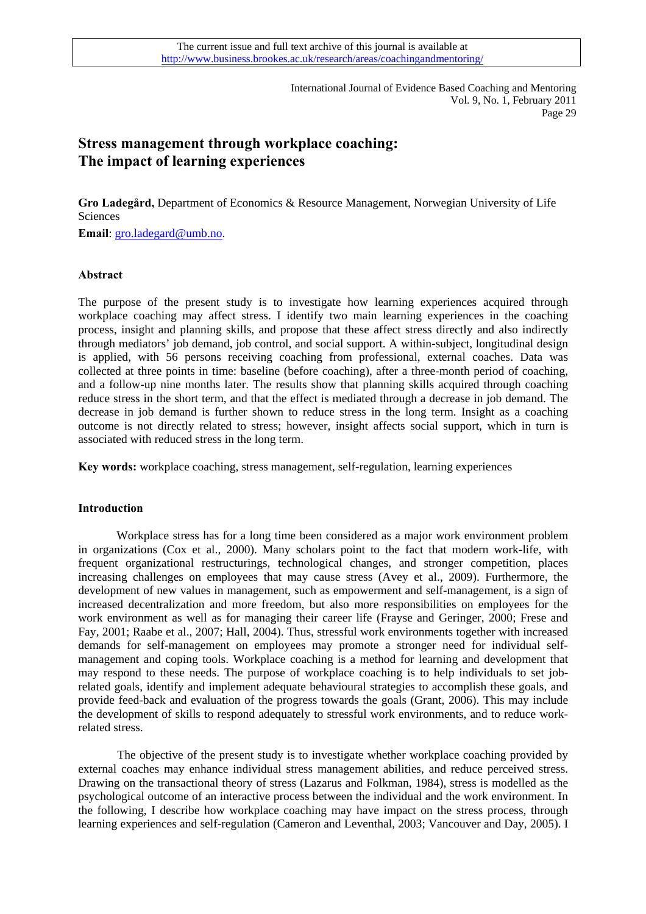# **Stress management through workplace coaching: The impact of learning experiences**

**Gro Ladegård,** Department of Economics & Resource Management, Norwegian University of Life Sciences

**Email**: [gro.ladegard@umb.no.](mailto:gro.ladegard@umb.no)

### **Abstract**

The purpose of the present study is to investigate how learning experiences acquired through workplace coaching may affect stress. I identify two main learning experiences in the coaching process, insight and planning skills, and propose that these affect stress directly and also indirectly through mediators' job demand, job control, and social support. A within-subject, longitudinal design is applied, with 56 persons receiving coaching from professional, external coaches. Data was collected at three points in time: baseline (before coaching), after a three-month period of coaching, and a follow-up nine months later. The results show that planning skills acquired through coaching reduce stress in the short term, and that the effect is mediated through a decrease in job demand. The decrease in job demand is further shown to reduce stress in the long term. Insight as a coaching outcome is not directly related to stress; however, insight affects social support, which in turn is associated with reduced stress in the long term.

**Key words:** workplace coaching, stress management, self-regulation, learning experiences

### **Introduction**

 Workplace stress has for a long time been considered as a major work environment problem in organizations (Cox et al., 2000). Many scholars point to the fact that modern work-life, with frequent organizational restructurings, technological changes, and stronger competition, places increasing challenges on employees that may cause stress (Avey et al., 2009). Furthermore, the development of new values in management, such as empowerment and self-management, is a sign of increased decentralization and more freedom, but also more responsibilities on employees for the work environment as well as for managing their career life (Frayse and Geringer, 2000; Frese and Fay, 2001; Raabe et al., 2007; Hall, 2004). Thus, stressful work environments together with increased demands for self-management on employees may promote a stronger need for individual selfmanagement and coping tools. Workplace coaching is a method for learning and development that may respond to these needs. The purpose of workplace coaching is to help individuals to set jobrelated goals, identify and implement adequate behavioural strategies to accomplish these goals, and provide feed-back and evaluation of the progress towards the goals (Grant, 2006). This may include the development of skills to respond adequately to stressful work environments, and to reduce workrelated stress.

The objective of the present study is to investigate whether workplace coaching provided by external coaches may enhance individual stress management abilities, and reduce perceived stress. Drawing on the transactional theory of stress (Lazarus and Folkman, 1984), stress is modelled as the psychological outcome of an interactive process between the individual and the work environment. In the following, I describe how workplace coaching may have impact on the stress process, through learning experiences and self-regulation (Cameron and Leventhal, 2003; Vancouver and Day, 2005). I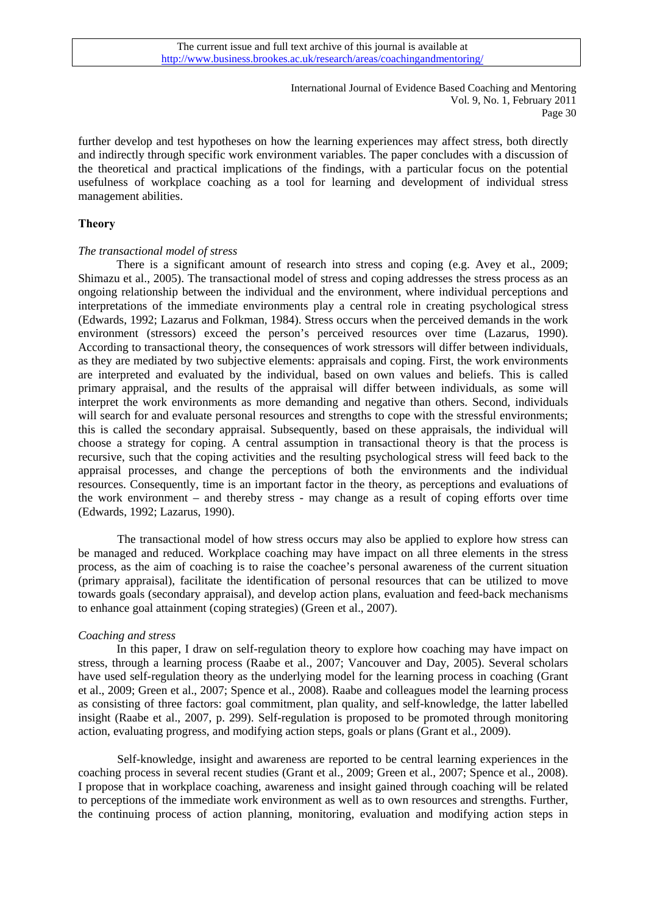further develop and test hypotheses on how the learning experiences may affect stress, both directly and indirectly through specific work environment variables. The paper concludes with a discussion of the theoretical and practical implications of the findings, with a particular focus on the potential usefulness of workplace coaching as a tool for learning and development of individual stress management abilities.

### **Theory**

### *The transactional model of stress*

There is a significant amount of research into stress and coping (e.g. Avey et al., 2009; Shimazu et al., 2005). The transactional model of stress and coping addresses the stress process as an ongoing relationship between the individual and the environment, where individual perceptions and interpretations of the immediate environments play a central role in creating psychological stress (Edwards, 1992; Lazarus and Folkman, 1984). Stress occurs when the perceived demands in the work environment (stressors) exceed the person's perceived resources over time (Lazarus, 1990). According to transactional theory, the consequences of work stressors will differ between individuals, as they are mediated by two subjective elements: appraisals and coping. First, the work environments are interpreted and evaluated by the individual, based on own values and beliefs. This is called primary appraisal, and the results of the appraisal will differ between individuals, as some will interpret the work environments as more demanding and negative than others. Second, individuals will search for and evaluate personal resources and strengths to cope with the stressful environments; this is called the secondary appraisal. Subsequently, based on these appraisals, the individual will choose a strategy for coping. A central assumption in transactional theory is that the process is recursive, such that the coping activities and the resulting psychological stress will feed back to the appraisal processes, and change the perceptions of both the environments and the individual resources. Consequently, time is an important factor in the theory, as perceptions and evaluations of the work environment – and thereby stress - may change as a result of coping efforts over time (Edwards, 1992; Lazarus, 1990).

The transactional model of how stress occurs may also be applied to explore how stress can be managed and reduced. Workplace coaching may have impact on all three elements in the stress process, as the aim of coaching is to raise the coachee's personal awareness of the current situation (primary appraisal), facilitate the identification of personal resources that can be utilized to move towards goals (secondary appraisal), and develop action plans, evaluation and feed-back mechanisms to enhance goal attainment (coping strategies) (Green et al., 2007).

### *Coaching and stress*

In this paper, I draw on self-regulation theory to explore how coaching may have impact on stress, through a learning process (Raabe et al., 2007; Vancouver and Day, 2005). Several scholars have used self-regulation theory as the underlying model for the learning process in coaching (Grant et al., 2009; Green et al., 2007; Spence et al., 2008). Raabe and colleagues model the learning process as consisting of three factors: goal commitment, plan quality, and self-knowledge, the latter labelled insight (Raabe et al., 2007, p. 299). Self-regulation is proposed to be promoted through monitoring action, evaluating progress, and modifying action steps, goals or plans (Grant et al., 2009).

Self-knowledge, insight and awareness are reported to be central learning experiences in the coaching process in several recent studies (Grant et al., 2009; Green et al., 2007; Spence et al., 2008). I propose that in workplace coaching, awareness and insight gained through coaching will be related to perceptions of the immediate work environment as well as to own resources and strengths. Further, the continuing process of action planning, monitoring, evaluation and modifying action steps in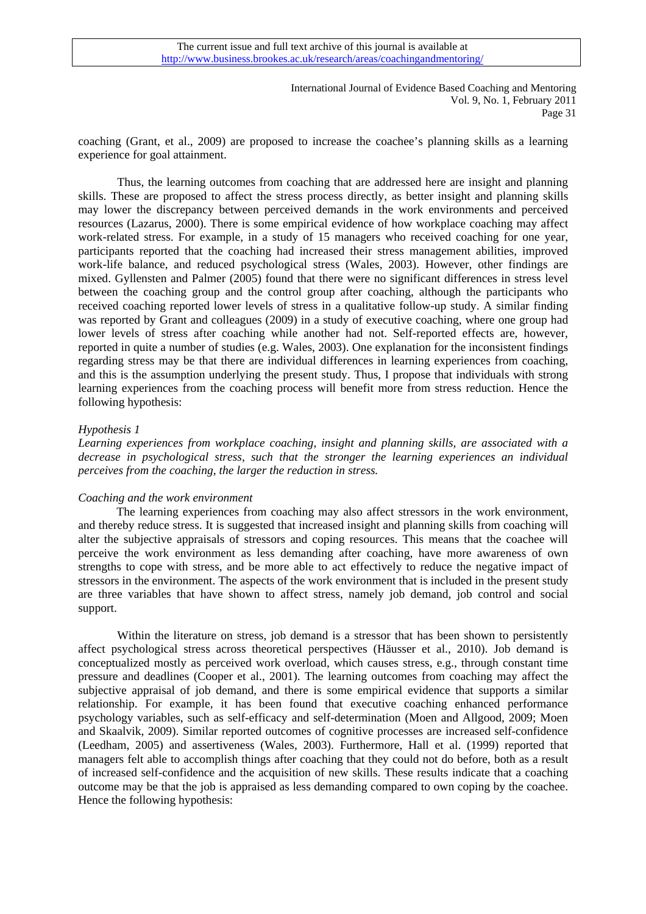coaching (Grant, et al., 2009) are proposed to increase the coachee's planning skills as a learning experience for goal attainment.

Thus, the learning outcomes from coaching that are addressed here are insight and planning skills. These are proposed to affect the stress process directly, as better insight and planning skills may lower the discrepancy between perceived demands in the work environments and perceived resources (Lazarus, 2000). There is some empirical evidence of how workplace coaching may affect work-related stress. For example, in a study of 15 managers who received coaching for one year, participants reported that the coaching had increased their stress management abilities, improved work-life balance, and reduced psychological stress (Wales, 2003). However, other findings are mixed. Gyllensten and Palmer (2005) found that there were no significant differences in stress level between the coaching group and the control group after coaching, although the participants who received coaching reported lower levels of stress in a qualitative follow-up study. A similar finding was reported by Grant and colleagues (2009) in a study of executive coaching, where one group had lower levels of stress after coaching while another had not. Self-reported effects are, however, reported in quite a number of studies (e.g. Wales, 2003). One explanation for the inconsistent findings regarding stress may be that there are individual differences in learning experiences from coaching, and this is the assumption underlying the present study. Thus, I propose that individuals with strong learning experiences from the coaching process will benefit more from stress reduction. Hence the following hypothesis:

### *Hypothesis 1*

*Learning experiences from workplace coaching, insight and planning skills, are associated with a decrease in psychological stress, such that the stronger the learning experiences an individual perceives from the coaching, the larger the reduction in stress.* 

### *Coaching and the work environment*

The learning experiences from coaching may also affect stressors in the work environment, and thereby reduce stress. It is suggested that increased insight and planning skills from coaching will alter the subjective appraisals of stressors and coping resources. This means that the coachee will perceive the work environment as less demanding after coaching, have more awareness of own strengths to cope with stress, and be more able to act effectively to reduce the negative impact of stressors in the environment. The aspects of the work environment that is included in the present study are three variables that have shown to affect stress, namely job demand, job control and social support.

Within the literature on stress, job demand is a stressor that has been shown to persistently affect psychological stress across theoretical perspectives (Häusser et al., 2010). Job demand is conceptualized mostly as perceived work overload, which causes stress, e.g., through constant time pressure and deadlines (Cooper et al., 2001). The learning outcomes from coaching may affect the subjective appraisal of job demand, and there is some empirical evidence that supports a similar relationship. For example, it has been found that executive coaching enhanced performance psychology variables, such as self-efficacy and self-determination (Moen and Allgood, 2009; Moen and Skaalvik, 2009). Similar reported outcomes of cognitive processes are increased self-confidence (Leedham, 2005) and assertiveness (Wales, 2003). Furthermore, Hall et al. (1999) reported that managers felt able to accomplish things after coaching that they could not do before, both as a result of increased self-confidence and the acquisition of new skills. These results indicate that a coaching outcome may be that the job is appraised as less demanding compared to own coping by the coachee. Hence the following hypothesis: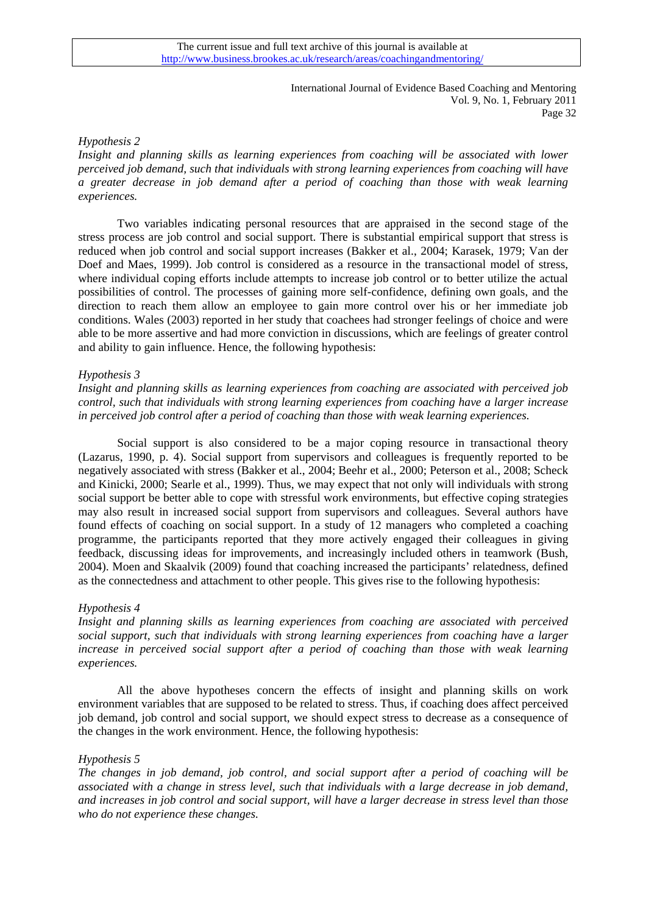### *Hypothesis 2*

*Insight and planning skills as learning experiences from coaching will be associated with lower perceived job demand, such that individuals with strong learning experiences from coaching will have a greater decrease in job demand after a period of coaching than those with weak learning experiences.* 

Two variables indicating personal resources that are appraised in the second stage of the stress process are job control and social support. There is substantial empirical support that stress is reduced when job control and social support increases (Bakker et al., 2004; Karasek, 1979; Van der Doef and Maes, 1999). Job control is considered as a resource in the transactional model of stress, where individual coping efforts include attempts to increase job control or to better utilize the actual possibilities of control. The processes of gaining more self-confidence, defining own goals, and the direction to reach them allow an employee to gain more control over his or her immediate job conditions. Wales (2003) reported in her study that coachees had stronger feelings of choice and were able to be more assertive and had more conviction in discussions, which are feelings of greater control and ability to gain influence. Hence, the following hypothesis:

### *Hypothesis 3*

*Insight and planning skills as learning experiences from coaching are associated with perceived job control, such that individuals with strong learning experiences from coaching have a larger increase in perceived job control after a period of coaching than those with weak learning experiences.* 

Social support is also considered to be a major coping resource in transactional theory (Lazarus, 1990, p. 4). Social support from supervisors and colleagues is frequently reported to be negatively associated with stress (Bakker et al., 2004; Beehr et al., 2000; Peterson et al., 2008; Scheck and Kinicki, 2000; Searle et al., 1999). Thus, we may expect that not only will individuals with strong social support be better able to cope with stressful work environments, but effective coping strategies may also result in increased social support from supervisors and colleagues. Several authors have found effects of coaching on social support. In a study of 12 managers who completed a coaching programme, the participants reported that they more actively engaged their colleagues in giving feedback, discussing ideas for improvements, and increasingly included others in teamwork (Bush, 2004). Moen and Skaalvik (2009) found that coaching increased the participants' relatedness, defined as the connectedness and attachment to other people. This gives rise to the following hypothesis:

### *Hypothesis 4*

*Insight and planning skills as learning experiences from coaching are associated with perceived social support, such that individuals with strong learning experiences from coaching have a larger increase in perceived social support after a period of coaching than those with weak learning experiences.* 

All the above hypotheses concern the effects of insight and planning skills on work environment variables that are supposed to be related to stress. Thus, if coaching does affect perceived job demand, job control and social support, we should expect stress to decrease as a consequence of the changes in the work environment. Hence, the following hypothesis:

### *Hypothesis 5*

*The changes in job demand, job control, and social support after a period of coaching will be associated with a change in stress level, such that individuals with a large decrease in job demand, and increases in job control and social support, will have a larger decrease in stress level than those who do not experience these changes.*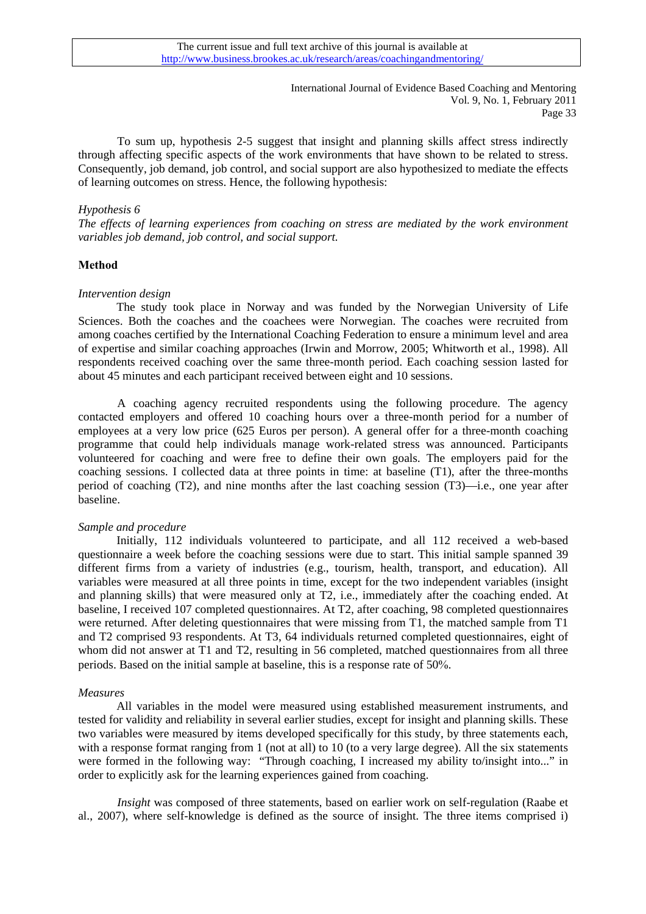To sum up, hypothesis 2-5 suggest that insight and planning skills affect stress indirectly through affecting specific aspects of the work environments that have shown to be related to stress. Consequently, job demand, job control, and social support are also hypothesized to mediate the effects of learning outcomes on stress. Hence, the following hypothesis:

### *Hypothesis 6*

*The effects of learning experiences from coaching on stress are mediated by the work environment variables job demand, job control, and social support.* 

### **Method**

#### *Intervention design*

The study took place in Norway and was funded by the Norwegian University of Life Sciences. Both the coaches and the coachees were Norwegian. The coaches were recruited from among coaches certified by the International Coaching Federation to ensure a minimum level and area of expertise and similar coaching approaches (Irwin and Morrow, 2005; Whitworth et al., 1998). All respondents received coaching over the same three-month period. Each coaching session lasted for about 45 minutes and each participant received between eight and 10 sessions.

A coaching agency recruited respondents using the following procedure. The agency contacted employers and offered 10 coaching hours over a three-month period for a number of employees at a very low price (625 Euros per person). A general offer for a three-month coaching programme that could help individuals manage work-related stress was announced. Participants volunteered for coaching and were free to define their own goals. The employers paid for the coaching sessions. I collected data at three points in time: at baseline (T1), after the three-months period of coaching (T2), and nine months after the last coaching session (T3)—i.e., one year after baseline.

### *Sample and procedure*

Initially, 112 individuals volunteered to participate, and all 112 received a web-based questionnaire a week before the coaching sessions were due to start. This initial sample spanned 39 different firms from a variety of industries (e.g., tourism, health, transport, and education). All variables were measured at all three points in time, except for the two independent variables (insight and planning skills) that were measured only at T2, i.e., immediately after the coaching ended. At baseline, I received 107 completed questionnaires. At T2, after coaching, 98 completed questionnaires were returned. After deleting questionnaires that were missing from T1, the matched sample from T1 and T2 comprised 93 respondents. At T3, 64 individuals returned completed questionnaires, eight of whom did not answer at T1 and T2, resulting in 56 completed, matched questionnaires from all three periods. Based on the initial sample at baseline, this is a response rate of 50%.

#### *Measures*

All variables in the model were measured using established measurement instruments, and tested for validity and reliability in several earlier studies, except for insight and planning skills. These two variables were measured by items developed specifically for this study, by three statements each, with a response format ranging from 1 (not at all) to 10 (to a very large degree). All the six statements were formed in the following way: "Through coaching, I increased my ability to/insight into..." in order to explicitly ask for the learning experiences gained from coaching.

*Insight* was composed of three statements, based on earlier work on self-regulation (Raabe et al., 2007), where self-knowledge is defined as the source of insight. The three items comprised i)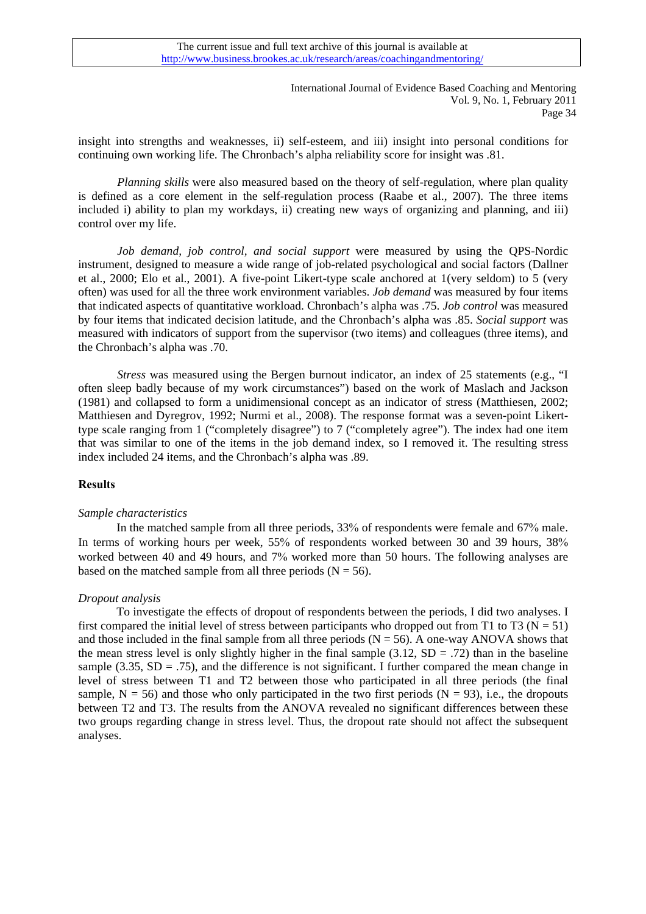insight into strengths and weaknesses, ii) self-esteem, and iii) insight into personal conditions for continuing own working life. The Chronbach's alpha reliability score for insight was .81.

*Planning skills* were also measured based on the theory of self-regulation, where plan quality is defined as a core element in the self-regulation process (Raabe et al., 2007). The three items included i) ability to plan my workdays, ii) creating new ways of organizing and planning, and iii) control over my life.

*Job demand, job control, and social support* were measured by using the QPS-Nordic instrument, designed to measure a wide range of job-related psychological and social factors (Dallner et al., 2000; Elo et al., 2001). A five-point Likert-type scale anchored at 1(very seldom) to 5 (very often) was used for all the three work environment variables. *Job demand* was measured by four items that indicated aspects of quantitative workload. Chronbach's alpha was .75. *Job control* was measured by four items that indicated decision latitude, and the Chronbach's alpha was .85. *Social support* was measured with indicators of support from the supervisor (two items) and colleagues (three items), and the Chronbach's alpha was .70.

*Stress* was measured using the Bergen burnout indicator, an index of 25 statements (e.g., "I often sleep badly because of my work circumstances") based on the work of Maslach and Jackson (1981) and collapsed to form a unidimensional concept as an indicator of stress (Matthiesen, 2002; Matthiesen and Dyregrov, 1992; Nurmi et al., 2008). The response format was a seven-point Likerttype scale ranging from 1 ("completely disagree") to 7 ("completely agree"). The index had one item that was similar to one of the items in the job demand index, so I removed it. The resulting stress index included 24 items, and the Chronbach's alpha was .89.

### **Results**

### *Sample characteristics*

In the matched sample from all three periods, 33% of respondents were female and 67% male. In terms of working hours per week, 55% of respondents worked between 30 and 39 hours, 38% worked between 40 and 49 hours, and 7% worked more than 50 hours. The following analyses are based on the matched sample from all three periods  $(N = 56)$ .

# *Dropout analysis*

To investigate the effects of dropout of respondents between the periods, I did two analyses. I first compared the initial level of stress between participants who dropped out from T1 to T3 ( $N = 51$ ) and those included in the final sample from all three periods  $(N = 56)$ . A one-way ANOVA shows that the mean stress level is only slightly higher in the final sample  $(3.12, SD = .72)$  than in the baseline sample (3.35,  $SD = .75$ ), and the difference is not significant. I further compared the mean change in level of stress between T1 and T2 between those who participated in all three periods (the final sample,  $N = 56$ ) and those who only participated in the two first periods ( $N = 93$ ), i.e., the dropouts between T2 and T3. The results from the ANOVA revealed no significant differences between these two groups regarding change in stress level. Thus, the dropout rate should not affect the subsequent analyses.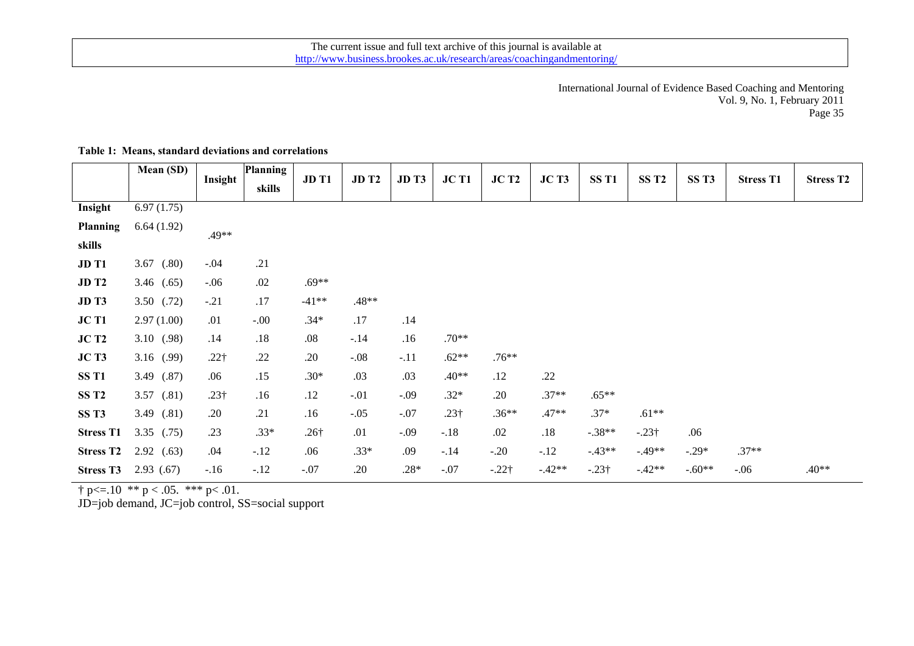|                  | Mean (SD)      |              | <b>Planning</b> | JD T1        | <b>JD T2</b> | JD <sub>T3</sub> | JC T1        | JCT <sub>2</sub> | JCT3     | SS <sub>T1</sub> | SS <sub>T2</sub> | SS <sub>T3</sub> | <b>Stress T1</b> |                  |
|------------------|----------------|--------------|-----------------|--------------|--------------|------------------|--------------|------------------|----------|------------------|------------------|------------------|------------------|------------------|
|                  |                | Insight      | skills          |              |              |                  |              |                  |          |                  |                  |                  |                  | <b>Stress T2</b> |
| Insight          | 6.97(1.75)     |              |                 |              |              |                  |              |                  |          |                  |                  |                  |                  |                  |
| <b>Planning</b>  | 6.64(1.92)     | .49**        |                 |              |              |                  |              |                  |          |                  |                  |                  |                  |                  |
| skills           |                |              |                 |              |              |                  |              |                  |          |                  |                  |                  |                  |                  |
| JD T1            | 3.67 $(.80)$   | $-.04$       | .21             |              |              |                  |              |                  |          |                  |                  |                  |                  |                  |
| <b>JD T2</b>     | 3.46 $(.65)$   | $-.06$       | .02             | $.69**$      |              |                  |              |                  |          |                  |                  |                  |                  |                  |
| JD <sub>T3</sub> | $3.50$ $(.72)$ | $-.21$       | .17             | $-41**$      | $.48**$      |                  |              |                  |          |                  |                  |                  |                  |                  |
| JC T1            | 2.97(1.00)     | .01          | $-.00.$         | $.34*$       | .17          | .14              |              |                  |          |                  |                  |                  |                  |                  |
| JCT2             | 3.10(0.98)     | .14          | .18             | $.08\,$      | $-.14$       | .16              | $.70**$      |                  |          |                  |                  |                  |                  |                  |
| JCT3             | 3.16 $(.99)$   | $.22\dagger$ | .22             | .20          | $-.08$       | $-.11$           | $.62**$      | $.76**$          |          |                  |                  |                  |                  |                  |
| SS <sub>T1</sub> | 3.49 (.87)     | .06          | .15             | $.30*$       | .03          | .03              | .40**        | .12              | .22      |                  |                  |                  |                  |                  |
| SS <sub>T2</sub> | 3.57 (.81)     | $.23\dagger$ | .16             | .12          | $-.01$       | $-.09$           | $.32*$       | .20              | $.37**$  | $.65**$          |                  |                  |                  |                  |
| SS <sub>T3</sub> | 3.49 $(.81)$   | .20          | .21             | .16          | $-.05$       | $-.07$           | $.23\dagger$ | $.36**$          | $.47**$  | $.37*$           | $.61**$          |                  |                  |                  |
| <b>Stress T1</b> | $3.35$ (.75)   | .23          | $.33*$          | $.26\dagger$ | .01          | $-.09$           | $-.18$       | .02              | .18      | $-.38**$         | $-.23\dagger$    | .06              |                  |                  |
| <b>Stress T2</b> | 2.92(0.63)     | .04          | $-.12$          | .06          | $.33*$       | .09              | $-.14$       | $-.20$           | $-.12$   | $-43**$          | $-.49**$         | $-.29*$          | $.37**$          |                  |
| <b>Stress T3</b> | 2.93(0.67)     | $-.16$       | $-.12$          | $-.07$       | .20          | $.28*$           | $-.07$       | $-.22\dagger$    | $-.42**$ | $-.23\dagger$    | $-.42**$         | $-.60**$         | $-.06$           | $.40**$          |

# **Table 1: Means, standard deviations and correlations**

 $\dagger$  p < = .10  $*$   $*$  p < .05.  $*$   $*$   $*$  p < .01.

JD=job demand, JC=job control, SS=social support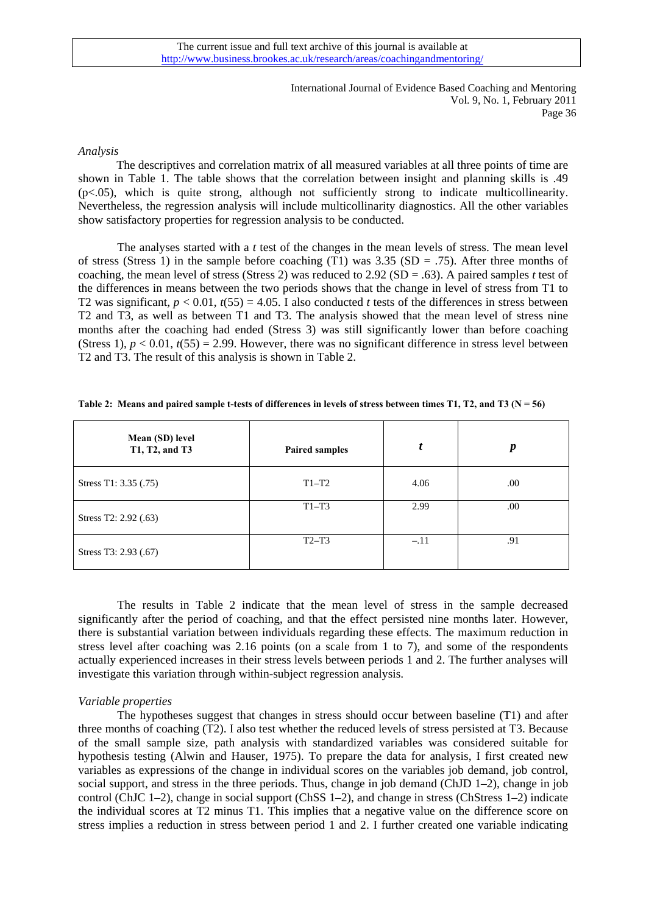### *Analysis*

The descriptives and correlation matrix of all measured variables at all three points of time are shown in Table 1. The table shows that the correlation between insight and planning skills is .49 (p<.05), which is quite strong, although not sufficiently strong to indicate multicollinearity. Nevertheless, the regression analysis will include multicollinarity diagnostics. All the other variables show satisfactory properties for regression analysis to be conducted.

The analyses started with a *t* test of the changes in the mean levels of stress. The mean level of stress (Stress 1) in the sample before coaching (T1) was  $3.35$  (SD = .75). After three months of coaching, the mean level of stress (Stress 2) was reduced to 2.92 (SD = .63). A paired samples *t* test of the differences in means between the two periods shows that the change in level of stress from T1 to T2 was significant,  $p < 0.01$ ,  $t(55) = 4.05$ . I also conducted *t* tests of the differences in stress between T2 and T3, as well as between T1 and T3. The analysis showed that the mean level of stress nine months after the coaching had ended (Stress 3) was still significantly lower than before coaching (Stress 1),  $p < 0.01$ ,  $t(55) = 2.99$ . However, there was no significant difference in stress level between T2 and T3. The result of this analysis is shown in Table 2.

| Mean (SD) level<br>T1, T2, and T3 | <b>Paired samples</b> |        | p    |
|-----------------------------------|-----------------------|--------|------|
| Stress T1: 3.35 (.75)             | $T1-T2$               | 4.06   | .00. |
| Stress T2: 2.92 (.63)             | $T1-T3$               | 2.99   | .00  |
| Stress T3: 2.93 (.67)             | $T2-T3$               | $-.11$ | .91  |

|  |  | Table 2: Means and paired sample t-tests of differences in levels of stress between times T1, T2, and T3 ( $N = 56$ ) |  |  |  |
|--|--|-----------------------------------------------------------------------------------------------------------------------|--|--|--|

The results in Table 2 indicate that the mean level of stress in the sample decreased significantly after the period of coaching, and that the effect persisted nine months later. However, there is substantial variation between individuals regarding these effects. The maximum reduction in stress level after coaching was 2.16 points (on a scale from 1 to 7), and some of the respondents actually experienced increases in their stress levels between periods 1 and 2. The further analyses will investigate this variation through within-subject regression analysis.

### *Variable properties*

The hypotheses suggest that changes in stress should occur between baseline (T1) and after three months of coaching (T2). I also test whether the reduced levels of stress persisted at T3. Because of the small sample size, path analysis with standardized variables was considered suitable for hypothesis testing (Alwin and Hauser, 1975). To prepare the data for analysis, I first created new variables as expressions of the change in individual scores on the variables job demand, job control, social support, and stress in the three periods. Thus, change in job demand (ChJD 1–2), change in job control (ChJC 1–2), change in social support (ChSS 1–2), and change in stress (ChStress 1–2) indicate the individual scores at T2 minus T1. This implies that a negative value on the difference score on stress implies a reduction in stress between period 1 and 2. I further created one variable indicating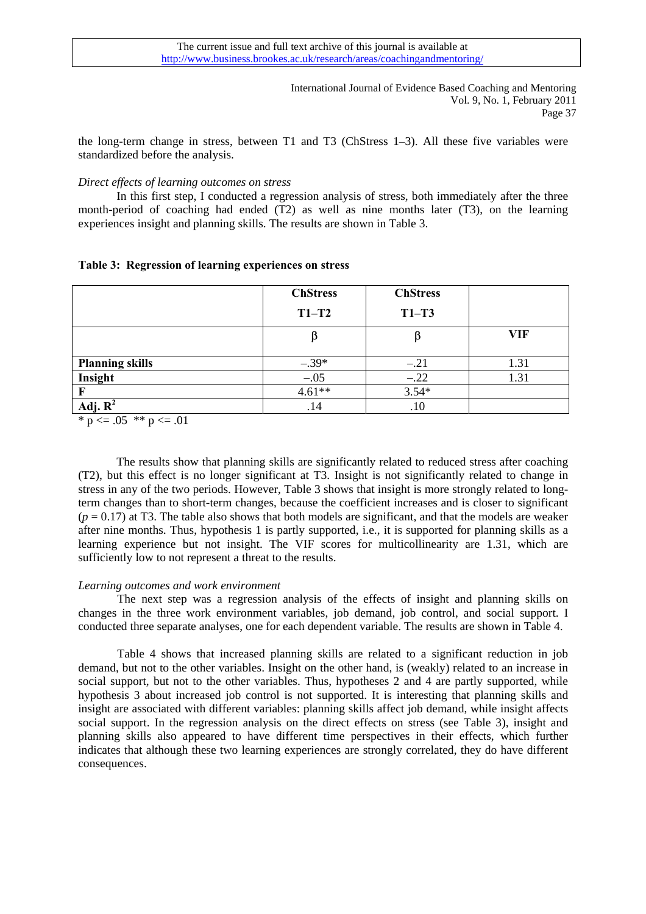the long-term change in stress, between T1 and T3 (ChStress 1–3). All these five variables were standardized before the analysis.

### *Direct effects of learning outcomes on stress*

In this first step, I conducted a regression analysis of stress, both immediately after the three month-period of coaching had ended (T2) as well as nine months later (T3), on the learning experiences insight and planning skills. The results are shown in Table 3.

|  | Table 3: Regression of learning experiences on stress |  |
|--|-------------------------------------------------------|--|
|  |                                                       |  |

|                        | <b>ChStress</b> | <b>ChStress</b> |      |
|------------------------|-----------------|-----------------|------|
|                        | $T1-T2$         | $T1-T3$         |      |
|                        |                 |                 | VIF  |
| <b>Planning skills</b> | $-.39*$         | $-.21$          | 1.31 |
| Insight                | $-.05$          | $-.22$          | 1.31 |
|                        | $4.61**$        | $3.54*$         |      |
| Adj. R                 | .14             | .10             |      |

\*  $p \le 0.05$  \*\*  $p \le 0.01$ 

 The results show that planning skills are significantly related to reduced stress after coaching (T2), but this effect is no longer significant at T3. Insight is not significantly related to change in stress in any of the two periods. However, Table 3 shows that insight is more strongly related to longterm changes than to short-term changes, because the coefficient increases and is closer to significant  $(p = 0.17)$  at T3. The table also shows that both models are significant, and that the models are weaker after nine months. Thus, hypothesis 1 is partly supported, i.e., it is supported for planning skills as a learning experience but not insight. The VIF scores for multicollinearity are 1.31, which are sufficiently low to not represent a threat to the results.

#### *Learning outcomes and work environment*

The next step was a regression analysis of the effects of insight and planning skills on changes in the three work environment variables, job demand, job control, and social support. I conducted three separate analyses, one for each dependent variable. The results are shown in Table 4.

Table 4 shows that increased planning skills are related to a significant reduction in job demand, but not to the other variables. Insight on the other hand, is (weakly) related to an increase in social support, but not to the other variables. Thus, hypotheses 2 and 4 are partly supported, while hypothesis 3 about increased job control is not supported. It is interesting that planning skills and insight are associated with different variables: planning skills affect job demand, while insight affects social support. In the regression analysis on the direct effects on stress (see Table 3), insight and planning skills also appeared to have different time perspectives in their effects, which further indicates that although these two learning experiences are strongly correlated, they do have different consequences.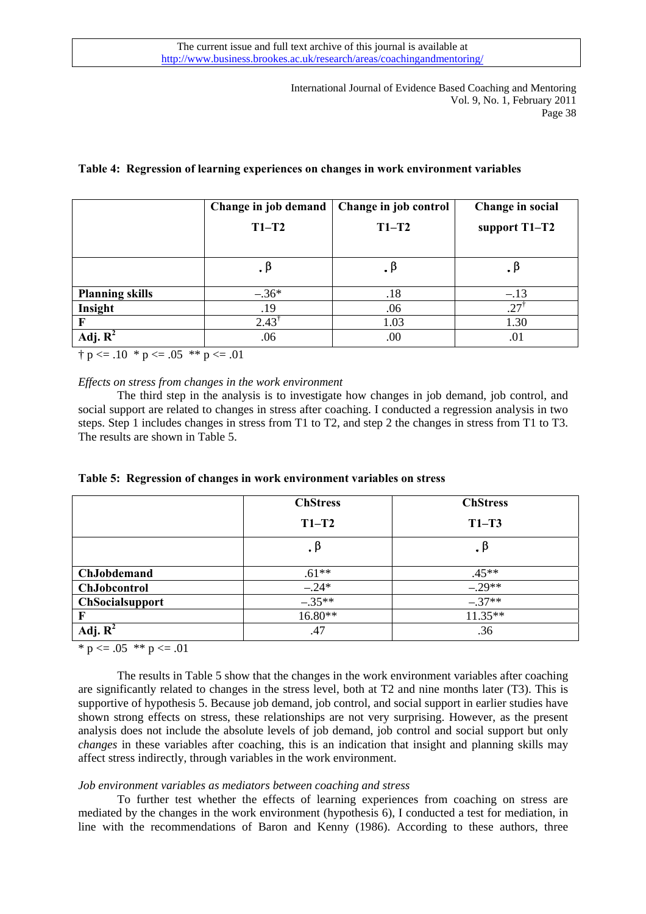# **Table 4: Regression of learning experiences on changes in work environment variables**

|                        | Change in job demand | Change in job control | Change in social |
|------------------------|----------------------|-----------------------|------------------|
|                        | $T1-T2$              | $T1-T2$               | support T1-T2    |
|                        |                      |                       |                  |
|                        | . В                  |                       | . p              |
| <b>Planning skills</b> | $-.36*$              | .18                   | $-.13$           |
| Insight                | .19                  | .06                   | $.27^{\dagger}$  |
|                        | $2.43^{\dagger}$     | 1.03                  | 1.30             |
| Adj. $\mathbf{R}^2$    | .06                  | .00                   | .01              |

 $\dagger p \leq 0.10 * p \leq 0.05 * p \leq 0.01$ 

*Effects on stress from changes in the work environment* 

The third step in the analysis is to investigate how changes in job demand, job control, and social support are related to changes in stress after coaching. I conducted a regression analysis in two steps. Step 1 includes changes in stress from T1 to T2, and step 2 the changes in stress from T1 to T3. The results are shown in Table 5.

|  |  |  |  |  | Table 5: Regression of changes in work environment variables on stress |  |
|--|--|--|--|--|------------------------------------------------------------------------|--|
|--|--|--|--|--|------------------------------------------------------------------------|--|

|                        | <b>ChStress</b> | <b>ChStress</b> |
|------------------------|-----------------|-----------------|
|                        | $T1-T2$         | $T1-T3$         |
|                        | .β              | . $\beta$       |
| <b>ChJobdemand</b>     | $.61**$         | $.45**$         |
| ChJobcontrol           | $-.24*$         | $-.29**$        |
| <b>ChSocialsupport</b> | $-.35**$        | $-.37**$        |
| F                      | 16.80**         | $11.35**$       |
| Adj. $R^2$             | .47             | .36             |

 $* p \leq 0.05 * p \leq 0.01$ 

The results in Table 5 show that the changes in the work environment variables after coaching are significantly related to changes in the stress level, both at T2 and nine months later (T3). This is supportive of hypothesis 5. Because job demand, job control, and social support in earlier studies have shown strong effects on stress, these relationships are not very surprising. However, as the present analysis does not include the absolute levels of job demand, job control and social support but only *changes* in these variables after coaching, this is an indication that insight and planning skills may affect stress indirectly, through variables in the work environment.

### *Job environment variables as mediators between coaching and stress*

To further test whether the effects of learning experiences from coaching on stress are mediated by the changes in the work environment (hypothesis 6), I conducted a test for mediation, in line with the recommendations of Baron and Kenny (1986). According to these authors, three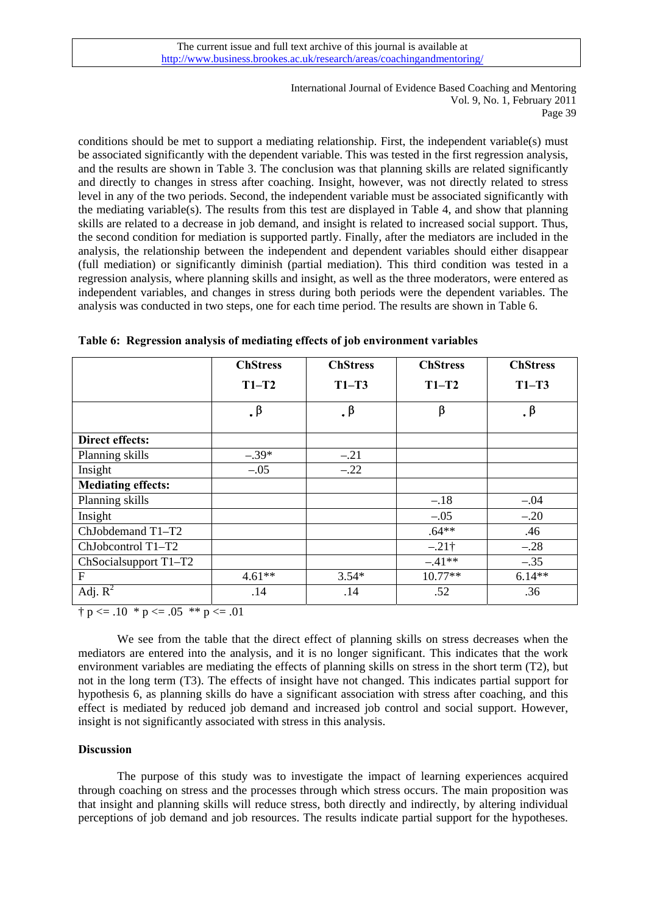conditions should be met to support a mediating relationship. First, the independent variable(s) must be associated significantly with the dependent variable. This was tested in the first regression analysis, and the results are shown in Table 3. The conclusion was that planning skills are related significantly and directly to changes in stress after coaching. Insight, however, was not directly related to stress level in any of the two periods. Second, the independent variable must be associated significantly with the mediating variable(s). The results from this test are displayed in Table 4, and show that planning skills are related to a decrease in job demand, and insight is related to increased social support. Thus, the second condition for mediation is supported partly. Finally, after the mediators are included in the analysis, the relationship between the independent and dependent variables should either disappear (full mediation) or significantly diminish (partial mediation). This third condition was tested in a regression analysis, where planning skills and insight, as well as the three moderators, were entered as independent variables, and changes in stress during both periods were the dependent variables. The analysis was conducted in two steps, one for each time period. The results are shown in Table 6.

|                           | <b>ChStress</b> | <b>ChStress</b> | <b>ChStress</b> | <b>ChStress</b> |
|---------------------------|-----------------|-----------------|-----------------|-----------------|
|                           | $T1-T2$         | $T1-T3$         | $T1-T2$         | $T1-T3$         |
|                           | . $\beta$       | . $\beta$       | β               | . $\beta$       |
| Direct effects:           |                 |                 |                 |                 |
| Planning skills           | $-.39*$         | $-.21$          |                 |                 |
| Insight                   | $-.05$          | $-.22$          |                 |                 |
| <b>Mediating effects:</b> |                 |                 |                 |                 |
| Planning skills           |                 |                 | $-.18$          | $-.04$          |
| Insight                   |                 |                 | $-.05$          | $-.20$          |
| ChJobdemand T1-T2         |                 |                 | $.64**$         | .46             |
| ChJobcontrol T1-T2        |                 |                 | $-.21\dagger$   | $-.28$          |
| ChSocialsupport T1-T2     |                 |                 | $-41**$         | $-.35$          |
| F                         | $4.61**$        | $3.54*$         | $10.77**$       | $6.14**$        |
| Adj. $\overline{R^2}$     | .14             | .14             | .52             | .36             |

**Table 6: Regression analysis of mediating effects of job environment variables** 

 $\dagger p \leq 0.10 * p \leq 0.05 * p \leq 0.01$ 

We see from the table that the direct effect of planning skills on stress decreases when the mediators are entered into the analysis, and it is no longer significant. This indicates that the work environment variables are mediating the effects of planning skills on stress in the short term (T2), but not in the long term (T3). The effects of insight have not changed. This indicates partial support for hypothesis 6, as planning skills do have a significant association with stress after coaching, and this effect is mediated by reduced job demand and increased job control and social support. However, insight is not significantly associated with stress in this analysis.

# **Discussion**

The purpose of this study was to investigate the impact of learning experiences acquired through coaching on stress and the processes through which stress occurs. The main proposition was that insight and planning skills will reduce stress, both directly and indirectly, by altering individual perceptions of job demand and job resources. The results indicate partial support for the hypotheses.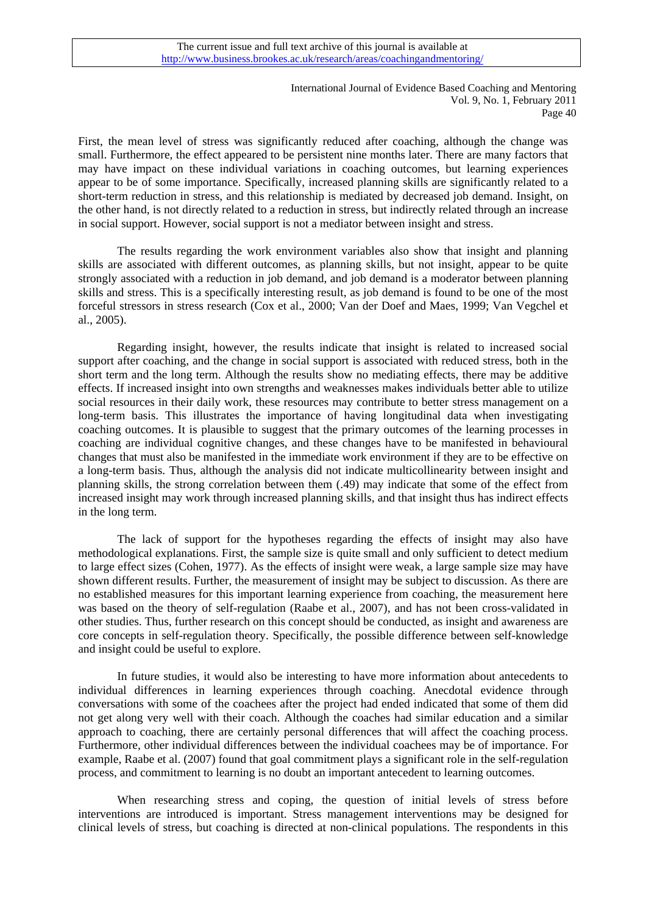First, the mean level of stress was significantly reduced after coaching, although the change was small. Furthermore, the effect appeared to be persistent nine months later. There are many factors that may have impact on these individual variations in coaching outcomes, but learning experiences appear to be of some importance. Specifically, increased planning skills are significantly related to a short-term reduction in stress, and this relationship is mediated by decreased job demand. Insight, on the other hand, is not directly related to a reduction in stress, but indirectly related through an increase in social support. However, social support is not a mediator between insight and stress.

The results regarding the work environment variables also show that insight and planning skills are associated with different outcomes, as planning skills, but not insight, appear to be quite strongly associated with a reduction in job demand, and job demand is a moderator between planning skills and stress. This is a specifically interesting result, as job demand is found to be one of the most forceful stressors in stress research (Cox et al., 2000; Van der Doef and Maes, 1999; Van Vegchel et al., 2005).

Regarding insight, however, the results indicate that insight is related to increased social support after coaching, and the change in social support is associated with reduced stress, both in the short term and the long term. Although the results show no mediating effects, there may be additive effects. If increased insight into own strengths and weaknesses makes individuals better able to utilize social resources in their daily work, these resources may contribute to better stress management on a long-term basis. This illustrates the importance of having longitudinal data when investigating coaching outcomes. It is plausible to suggest that the primary outcomes of the learning processes in coaching are individual cognitive changes, and these changes have to be manifested in behavioural changes that must also be manifested in the immediate work environment if they are to be effective on a long-term basis. Thus, although the analysis did not indicate multicollinearity between insight and planning skills, the strong correlation between them (.49) may indicate that some of the effect from increased insight may work through increased planning skills, and that insight thus has indirect effects in the long term.

The lack of support for the hypotheses regarding the effects of insight may also have methodological explanations. First, the sample size is quite small and only sufficient to detect medium to large effect sizes (Cohen, 1977). As the effects of insight were weak, a large sample size may have shown different results. Further, the measurement of insight may be subject to discussion. As there are no established measures for this important learning experience from coaching, the measurement here was based on the theory of self-regulation (Raabe et al., 2007), and has not been cross-validated in other studies. Thus, further research on this concept should be conducted, as insight and awareness are core concepts in self-regulation theory. Specifically, the possible difference between self-knowledge and insight could be useful to explore.

In future studies, it would also be interesting to have more information about antecedents to individual differences in learning experiences through coaching. Anecdotal evidence through conversations with some of the coachees after the project had ended indicated that some of them did not get along very well with their coach. Although the coaches had similar education and a similar approach to coaching, there are certainly personal differences that will affect the coaching process. Furthermore, other individual differences between the individual coachees may be of importance. For example, Raabe et al. (2007) found that goal commitment plays a significant role in the self-regulation process, and commitment to learning is no doubt an important antecedent to learning outcomes.

When researching stress and coping, the question of initial levels of stress before interventions are introduced is important. Stress management interventions may be designed for clinical levels of stress, but coaching is directed at non-clinical populations. The respondents in this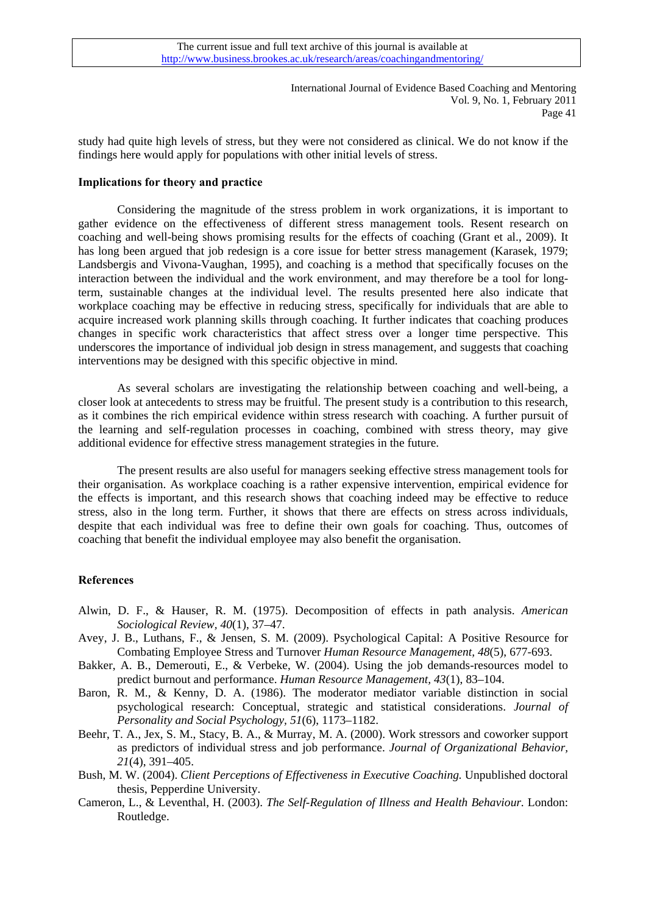study had quite high levels of stress, but they were not considered as clinical. We do not know if the findings here would apply for populations with other initial levels of stress.

### **Implications for theory and practice**

Considering the magnitude of the stress problem in work organizations, it is important to gather evidence on the effectiveness of different stress management tools. Resent research on coaching and well-being shows promising results for the effects of coaching (Grant et al., 2009). It has long been argued that job redesign is a core issue for better stress management (Karasek, 1979; Landsbergis and Vivona-Vaughan, 1995), and coaching is a method that specifically focuses on the interaction between the individual and the work environment, and may therefore be a tool for longterm, sustainable changes at the individual level. The results presented here also indicate that workplace coaching may be effective in reducing stress, specifically for individuals that are able to acquire increased work planning skills through coaching. It further indicates that coaching produces changes in specific work characteristics that affect stress over a longer time perspective. This underscores the importance of individual job design in stress management, and suggests that coaching interventions may be designed with this specific objective in mind.

As several scholars are investigating the relationship between coaching and well-being, a closer look at antecedents to stress may be fruitful. The present study is a contribution to this research, as it combines the rich empirical evidence within stress research with coaching. A further pursuit of the learning and self-regulation processes in coaching, combined with stress theory, may give additional evidence for effective stress management strategies in the future.

The present results are also useful for managers seeking effective stress management tools for their organisation. As workplace coaching is a rather expensive intervention, empirical evidence for the effects is important, and this research shows that coaching indeed may be effective to reduce stress, also in the long term. Further, it shows that there are effects on stress across individuals, despite that each individual was free to define their own goals for coaching. Thus, outcomes of coaching that benefit the individual employee may also benefit the organisation.

### **References**

- Alwin, D. F., & Hauser, R. M. (1975). Decomposition of effects in path analysis. *American Sociological Review, 40*(1), 37–47.
- Avey, J. B., Luthans, F., & Jensen, S. M. (2009). Psychological Capital: A Positive Resource for Combating Employee Stress and Turnover *Human Resource Management, 48*(5), 677-693.
- Bakker, A. B., Demerouti, E., & Verbeke, W. (2004). Using the job demands-resources model to predict burnout and performance. *Human Resource Management, 43*(1), 83–104.
- Baron, R. M., & Kenny, D. A. (1986). The moderator mediator variable distinction in social psychological research: Conceptual, strategic and statistical considerations. *Journal of Personality and Social Psychology, 51*(6), 1173–1182.
- Beehr, T. A., Jex, S. M., Stacy, B. A., & Murray, M. A. (2000). Work stressors and coworker support as predictors of individual stress and job performance. *Journal of Organizational Behavior, 21*(4), 391–405.
- Bush, M. W. (2004). *Client Perceptions of Effectiveness in Executive Coaching.* Unpublished doctoral thesis, Pepperdine University.
- Cameron, L., & Leventhal, H. (2003). *The Self-Regulation of Illness and Health Behaviour*. London: Routledge.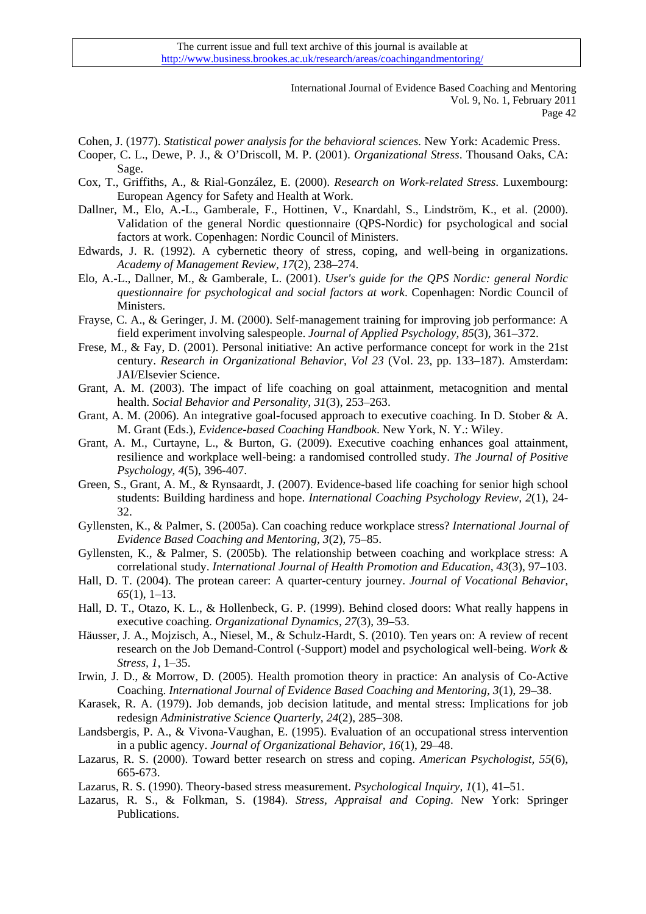- Cohen, J. (1977). *Statistical power analysis for the behavioral sciences.* New York: Academic Press.
- Cooper, C. L., Dewe, P. J., & O'Driscoll, M. P. (2001). *Organizational Stress*. Thousand Oaks, CA: Sage.
- Cox, T., Griffiths, A., & Rial-González, E. (2000). *Research on Work-related Stress*. Luxembourg: European Agency for Safety and Health at Work.
- Dallner, M., Elo, A.-L., Gamberale, F., Hottinen, V., Knardahl, S., Lindström, K., et al. (2000). Validation of the general Nordic questionnaire (QPS-Nordic) for psychological and social factors at work. Copenhagen: Nordic Council of Ministers.
- Edwards, J. R. (1992). A cybernetic theory of stress, coping, and well-being in organizations. *Academy of Management Review, 17*(2), 238–274.
- Elo, A.-L., Dallner, M., & Gamberale, L. (2001). *User's guide for the QPS Nordic: general Nordic questionnaire for psychological and social factors at work*. Copenhagen: Nordic Council of Ministers.
- Frayse, C. A., & Geringer, J. M. (2000). Self-management training for improving job performance: A field experiment involving salespeople. *Journal of Applied Psychology, 85*(3), 361–372.
- Frese, M., & Fay, D. (2001). Personal initiative: An active performance concept for work in the 21st century. *Research in Organizational Behavior, Vol 23* (Vol. 23, pp. 133–187). Amsterdam: JAI/Elsevier Science.
- Grant, A. M. (2003). The impact of life coaching on goal attainment, metacognition and mental health. *Social Behavior and Personality, 31*(3), 253–263.
- Grant, A. M. (2006). An integrative goal-focused approach to executive coaching. In D. Stober & A. M. Grant (Eds.), *Evidence-based Coaching Handbook*. New York, N. Y.: Wiley.
- Grant, A. M., Curtayne, L., & Burton, G. (2009). Executive coaching enhances goal attainment, resilience and workplace well-being: a randomised controlled study. *The Journal of Positive Psychology, 4*(5), 396-407.
- Green, S., Grant, A. M., & Rynsaardt, J. (2007). Evidence-based life coaching for senior high school students: Building hardiness and hope. *International Coaching Psychology Review, 2*(1), 24- 32.
- Gyllensten, K., & Palmer, S. (2005a). Can coaching reduce workplace stress? *International Journal of Evidence Based Coaching and Mentoring, 3*(2), 75–85.
- Gyllensten, K., & Palmer, S. (2005b). The relationship between coaching and workplace stress: A correlational study. *International Journal of Health Promotion and Education, 43*(3), 97–103.
- Hall, D. T. (2004). The protean career: A quarter-century journey. *Journal of Vocational Behavior, 65*(1), 1–13.
- Hall, D. T., Otazo, K. L., & Hollenbeck, G. P. (1999). Behind closed doors: What really happens in executive coaching. *Organizational Dynamics, 27*(3), 39–53.
- Häusser, J. A., Mojzisch, A., Niesel, M., & Schulz-Hardt, S. (2010). Ten years on: A review of recent research on the Job Demand-Control (-Support) model and psychological well-being. *Work & Stress, 1*, 1–35.
- Irwin, J. D., & Morrow, D. (2005). Health promotion theory in practice: An analysis of Co-Active Coaching. *International Journal of Evidence Based Coaching and Mentoring, 3*(1), 29–38.
- Karasek, R. A. (1979). Job demands, job decision latitude, and mental stress: Implications for job redesign *Administrative Science Quarterly, 24*(2), 285–308.
- Landsbergis, P. A., & Vivona-Vaughan, E. (1995). Evaluation of an occupational stress intervention in a public agency. *Journal of Organizational Behavior, 16*(1), 29–48.
- Lazarus, R. S. (2000). Toward better research on stress and coping. *American Psychologist, 55*(6), 665-673.
- Lazarus, R. S. (1990). Theory-based stress measurement. *Psychological Inquiry, 1*(1), 41–51.
- Lazarus, R. S., & Folkman, S. (1984). *Stress, Appraisal and Coping*. New York: Springer Publications.